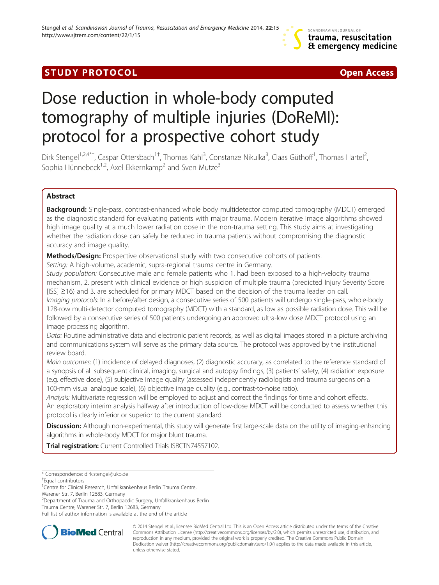# S TUDY PROTOCOL AND THE RESERVE THAT THE RESERVE THE RESERVE THAT THE RESERVE THAT THE RESERVE THAT THE RESERVE

# Dose reduction in whole-body computed tomography of multiple injuries (DoReMI): protocol for a prospective cohort study

Dirk Stengel<sup>1,2,4\*†</sup>, Caspar Ottersbach<sup>1†</sup>, Thomas Kahl<sup>3</sup>, Constanze Nikulka<sup>3</sup>, Claas Güthoff<sup>1</sup>, Thomas Hartel<sup>2</sup> .<br>, Sophia Hünnebeck<sup>1,2</sup>, Axel Ekkernkamp<sup>2</sup> and Sven Mutze<sup>3</sup>

# Abstract

Background: Single-pass, contrast-enhanced whole body multidetector computed tomography (MDCT) emerged as the diagnostic standard for evaluating patients with major trauma. Modern iterative image algorithms showed high image quality at a much lower radiation dose in the non-trauma setting. This study aims at investigating whether the radiation dose can safely be reduced in trauma patients without compromising the diagnostic accuracy and image quality.

Methods/Design: Prospective observational study with two consecutive cohorts of patients.

Setting: A high-volume, academic, supra-regional trauma centre in Germany.

Study population: Consecutive male and female patients who 1. had been exposed to a high-velocity trauma mechanism, 2. present with clinical evidence or high suspicion of multiple trauma (predicted Injury Severity Score [ISS] ≥16) and 3. are scheduled for primary MDCT based on the decision of the trauma leader on call.

Imaging protocols: In a before/after design, a consecutive series of 500 patients will undergo single-pass, whole-body 128-row multi-detector computed tomography (MDCT) with a standard, as low as possible radiation dose. This will be followed by a consecutive series of 500 patients undergoing an approved ultra-low dose MDCT protocol using an image processing algorithm.

Data: Routine administrative data and electronic patient records, as well as digital images stored in a picture archiving and communications system will serve as the primary data source. The protocol was approved by the institutional review board.

Main outcomes: (1) incidence of delayed diagnoses, (2) diagnostic accuracy, as correlated to the reference standard of a synopsis of all subsequent clinical, imaging, surgical and autopsy findings, (3) patients' safety, (4) radiation exposure (e.g. effective dose), (5) subjective image quality (assessed independently radiologists and trauma surgeons on a 100-mm visual analogue scale), (6) objective image quality (e.g., contrast-to-noise ratio).

Analysis: Multivariate regression will be employed to adjust and correct the findings for time and cohort effects. An exploratory interim analysis halfway after introduction of low-dose MDCT will be conducted to assess whether this protocol is clearly inferior or superior to the current standard.

Discussion: Although non-experimental, this study will generate first large-scale data on the utility of imaging-enhancing algorithms in whole-body MDCT for major blunt trauma.

Trial registration: Current Controlled Trials [ISRCTN74557102.](http://controlled-trials.com/ISRCTN74557102)

\* Correspondence: [dirk.stengel@ukb.de](mailto:dirk.stengel@ukb.de) †

<sup>1</sup> Centre for Clinical Research, Unfallkrankenhaus Berlin Trauma Centre,

Warener Str. 7, Berlin 12683, Germany

2 Department of Trauma and Orthopaedic Surgery, Unfallkrankenhaus Berlin

Trauma Centre, Warener Str. 7, Berlin 12683, Germany

Full list of author information is available at the end of the article



© 2014 Stengel et al.; licensee BioMed Central Ltd. This is an Open Access article distributed under the terms of the Creative Commons Attribution License [\(http://creativecommons.org/licenses/by/2.0\)](http://creativecommons.org/licenses/by/2.0), which permits unrestricted use, distribution, and reproduction in any medium, provided the original work is properly credited. The Creative Commons Public Domain Dedication waiver [\(http://creativecommons.org/publicdomain/zero/1.0/](http://creativecommons.org/publicdomain/zero/1.0/)) applies to the data made available in this article, unless otherwise stated.

Equal contributors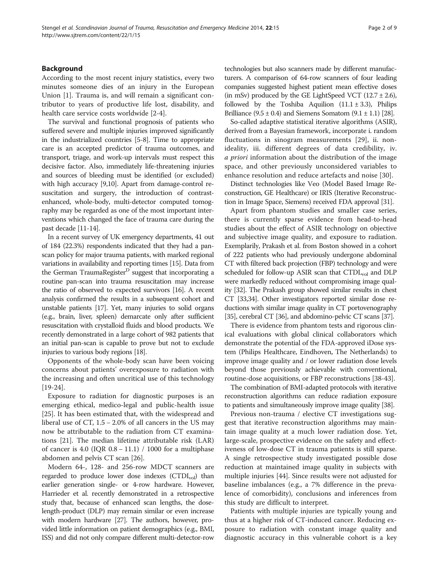## Background

According to the most recent injury statistics, every two minutes someone dies of an injury in the European Union [[1\]](#page-7-0). Trauma is, and will remain a significant contributor to years of productive life lost, disability, and health care service costs worldwide [\[2](#page-7-0)-[4\]](#page-7-0).

The survival and functional prognosis of patients who suffered severe and multiple injuries improved significantly in the industrialized countries [[5-8\]](#page-7-0). Time to appropriate care is an accepted predictor of trauma outcomes, and transport, triage, and work-up intervals must respect this decisive factor. Also, immediately life-threatening injuries and sources of bleeding must be identified (or excluded) with high accuracy [\[9,10\]](#page-7-0). Apart from damage-control resuscitation and surgery, the introduction of contrastenhanced, whole-body, multi-detector computed tomography may be regarded as one of the most important interventions which changed the face of trauma care during the past decade [\[11-14\]](#page-7-0).

In a recent survey of UK emergency departments, 41 out of 184 (22.3%) respondents indicated that they had a panscan policy for major trauma patients, with marked regional variations in availability and reporting times [\[15\]](#page-7-0). Data from the German TraumaRegister<sup>D</sup> suggest that incorporating a routine pan-scan into trauma resuscitation may increase the ratio of observed to expected survivors [\[16\]](#page-7-0). A recent analysis confirmed the results in a subsequent cohort and unstable patients [\[17](#page-7-0)]. Yet, many injuries to solid organs (e.g., brain, liver, spleen) demarcate only after sufficient resuscitation with crystalloid fluids and blood products. We recently demonstrated in a large cohort of 982 patients that an initial pan-scan is capable to prove but not to exclude injuries to various body regions [\[18](#page-7-0)].

Opponents of the whole-body scan have been voicing concerns about patients' overexposure to radiation with the increasing and often uncritical use of this technology [[19-24](#page-7-0)].

Exposure to radiation for diagnostic purposes is an emerging ethical, medico-legal and public-health issue [[25\]](#page-7-0). It has been estimated that, with the widespread and liberal use of CT, 1.5 − 2.0% of all cancers in the US may now be attributable to the radiation from CT examinations [\[21](#page-7-0)]. The median lifetime attributable risk (LAR) of cancer is 4.0 (IQR  $0.8 - 11.1$ ) / 1000 for a multiphase abdomen and pelvis CT scan [\[26\]](#page-7-0).

Modern 64-, 128- and 256-row MDCT scanners are regarded to produce lower dose indexes  $(CTDI_{vol})$  than earlier generation single- or 4-row hardware. However, Harrieder et al. recently demonstrated in a retrospective study that, because of enhanced scan lengths, the doselength-product (DLP) may remain similar or even increase with modern hardware [[27\]](#page-7-0). The authors, however, provided little information on patient demographics (e.g., BMI, ISS) and did not only compare different multi-detector-row technologies but also scanners made by different manufacturers. A comparison of 64-row scanners of four leading companies suggested highest patient mean effective doses (in mSv) produced by the GE LightSpeed VCT  $(12.7 \pm 2.6)$ , followed by the Toshiba Aquilion  $(11.1 \pm 3.3)$ , Philips Brilliance  $(9.5 \pm 0.4)$  and Siemens Somatom  $(9.1 \pm 1.1)$  [\[28\]](#page-7-0).

So-called adaptive statistical iterative algorithms (ASIR), derived from a Bayesian framework, incorporate i. random fluctuations in sinogram measurements [\[29](#page-7-0)], ii. nonideality, iii. different degrees of data credibility, iv. a priori information about the distribution of the image space, and other previously unconsidered variables to enhance resolution and reduce artefacts and noise [\[30](#page-7-0)].

Distinct technologies like Veo (Model Based Image Reconstruction, GE Healthcare) or IRIS (Iterative Reconstruction in Image Space, Siemens) received FDA approval [\[31](#page-7-0)].

Apart from phantom studies and smaller case series, there is currently sparse evidence from head-to-head studies about the effect of ASIR technology on objective and subjective image quality, and exposure to radiation. Exemplarily, Prakash et al. from Boston showed in a cohort of 222 patients who had previously undergone abdominal CT with filtered back projection (FBP) technology and were scheduled for follow-up ASIR scan that  $CTDL<sub>vol</sub>$  and  $DLP$ were markedly reduced without compromising image quality [\[32\]](#page-7-0). The Prakash group showed similar results in chest CT [\[33,34](#page-7-0)]. Other investigators reported similar dose reductions with similar image quality in CT portovenography [[35](#page-7-0)], cerebral CT [\[36\]](#page-7-0), and abdomino-pelvic CT scans [[37](#page-7-0)].

There is evidence from phantom tests and rigorous clinical evaluations with global clinical collaborators which demonstrate the potential of the FDA-approved iDose system (Philips Healthcare, Eindhoven, The Netherlands) to improve image quality and / or lower radiation dose levels beyond those previously achievable with conventional, routine-dose acquisitions, or FBP reconstructions [\[38](#page-7-0)[-43\]](#page-8-0).

The combination of BMI-adapted protocols with iterative reconstruction algorithms can reduce radiation exposure to patients and simultaneously improve image quality [\[38](#page-7-0)].

Previous non-trauma / elective CT investigations suggest that iterative reconstruction algorithms may maintain image quality at a much lower radiation dose. Yet, large-scale, prospective evidence on the safety and effectiveness of low-dose CT in trauma patients is still sparse. A single retrospective study investigated possible dose reduction at maintained image quality in subjects with multiple injuries [\[44\]](#page-8-0). Since results were not adjusted for baseline imbalances (e.g., a 7% difference in the prevalence of comorbidity), conclusions and inferences from this study are difficult to interpret.

Patients with multiple injuries are typically young and thus at a higher risk of CT-induced cancer. Reducing exposure to radiation with constant image quality and diagnostic accuracy in this vulnerable cohort is a key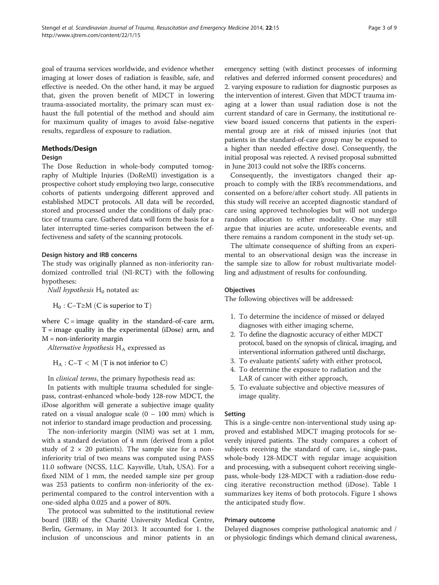goal of trauma services worldwide, and evidence whether imaging at lower doses of radiation is feasible, safe, and effective is needed. On the other hand, it may be argued that, given the proven benefit of MDCT in lowering trauma-associated mortality, the primary scan must exhaust the full potential of the method and should aim for maximum quality of images to avoid false-negative results, regardless of exposure to radiation.

### Methods/Design

#### Design

The Dose Reduction in whole-body computed tomography of Multiple Injuries (DoReMI) investigation is a prospective cohort study employing two large, consecutive cohorts of patients undergoing different approved and established MDCT protocols. All data will be recorded, stored and processed under the conditions of daily practice of trauma care. Gathered data will form the basis for a later interrupted time-series comparison between the effectiveness and safety of the scanning protocols.

#### Design history and IRB concerns

The study was originally planned as non-inferiority randomized controlled trial (NI-RCT) with the following hypotheses:

Null hypothesis  $H_0$  notated as:

 $H_0$ : C−T≥M (C is superior to T)

where  $C = \text{image quality}$  in the standard-of-care arm,  $T = image$  quality in the experimental (iDose) arm, and  $M = non-inferiority margin$ 

Alternative hypothesis  $H_A$  expressed as

 $H_A$ : C−T < M (T is not inferior to C)

In clinical terms, the primary hypothesis read as:

In patients with multiple trauma scheduled for singlepass, contrast-enhanced whole-body 128-row MDCT, the iDose algorithm will generate a subjective image quality rated on a visual analogue scale  $(0 - 100 \text{ mm})$  which is not inferior to standard image production and processing.

The non-inferiority margin (NIM) was set at 1 mm, with a standard deviation of 4 mm (derived from a pilot study of  $2 \times 20$  patients). The sample size for a noninferiority trial of two means was computed using PASS 11.0 software (NCSS, LLC. Kaysville, Utah, USA). For a fixed NIM of 1 mm, the needed sample size per group was 253 patients to confirm non-inferiority of the experimental compared to the control intervention with a one-sided alpha 0.025 and a power of 80%.

The protocol was submitted to the institutional review board (IRB) of the Charité University Medical Centre, Berlin, Germany, in May 2013. It accounted for 1. the inclusion of unconscious and minor patients in an

emergency setting (with distinct processes of informing relatives and deferred informed consent procedures) and 2. varying exposure to radiation for diagnostic purposes as the intervention of interest. Given that MDCT trauma imaging at a lower than usual radiation dose is not the current standard of care in Germany, the institutional review board issued concerns that patients in the experimental group are at risk of missed injuries (not that patients in the standard-of-care group may be exposed to a higher than needed effective dose). Consequently, the initial proposal was rejected. A revised proposal submitted in June 2013 could not solve the IRB's concerns.

Consequently, the investigators changed their approach to comply with the IRB's recommendations, and consented on a before/after cohort study. All patients in this study will receive an accepted diagnostic standard of care using approved technologies but will not undergo random allocation to either modality. One may still argue that injuries are acute, unforeseeable events, and there remains a random component in the study set-up.

The ultimate consequence of shifting from an experimental to an observational design was the increase in the sample size to allow for robust multivariate modelling and adjustment of results for confounding.

#### **Objectives**

The following objectives will be addressed:

- 1. To determine the incidence of missed or delayed diagnoses with either imaging scheme,
- 2. To define the diagnostic accuracy of either MDCT protocol, based on the synopsis of clinical, imaging, and interventional information gathered until discharge,
- 3. To evaluate patients' safety with either protocol,
- 4. To determine the exposure to radiation and the LAR of cancer with either approach,
- 5. To evaluate subjective and objective measures of image quality.

#### Setting

This is a single-centre non-interventional study using approved and established MDCT imaging protocols for severely injured patients. The study compares a cohort of subjects receiving the standard of care, i.e., single-pass, whole-body 128-MDCT with regular image acquisition and processing, with a subsequent cohort receiving singlepass, whole-body 128-MDCT with a radiation-dose reducing iterative reconstruction method (iDose). Table [1](#page-3-0) summarizes key items of both protocols. Figure [1](#page-3-0) shows the anticipated study flow.

#### Primary outcome

Delayed diagnoses comprise pathological anatomic and / or physiologic findings which demand clinical awareness,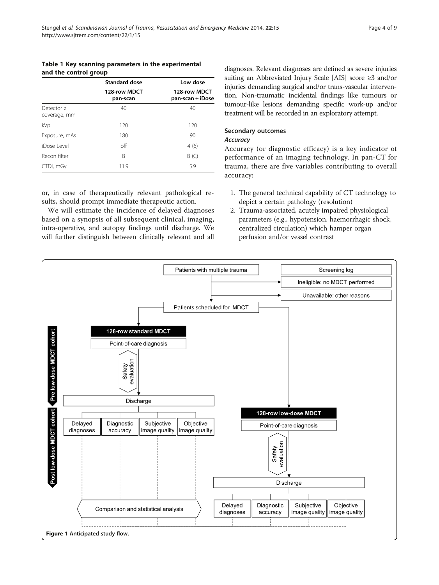<span id="page-3-0"></span>

|                            | <b>Standard dose</b>     | Low dose<br>128-row MDCT<br>pan-scan + iDose |  |
|----------------------------|--------------------------|----------------------------------------------|--|
|                            | 128-row MDCT<br>pan-scan |                                              |  |
| Detector z<br>coverage, mm | 40                       | 40                                           |  |
| <b>kVp</b>                 | 120                      | 120                                          |  |
| Exposure, mAs              | 180                      | 90                                           |  |
| iDose Level                | off                      | 4(6)                                         |  |
| Recon filter               | B                        | B(C)                                         |  |
| CTDI, mGy                  | 11.9                     | 5.9                                          |  |

or, in case of therapeutically relevant pathological results, should prompt immediate therapeutic action.

We will estimate the incidence of delayed diagnoses based on a synopsis of all subsequent clinical, imaging, intra-operative, and autopsy findings until discharge. We will further distinguish between clinically relevant and all diagnoses. Relevant diagnoses are defined as severe injuries suiting an Abbreviated Injury Scale [AIS] score ≥3 and/or injuries demanding surgical and/or trans-vascular intervention. Non-traumatic incidental findings like tumours or tumour-like lesions demanding specific work-up and/or treatment will be recorded in an exploratory attempt.

# Secondary outcomes

## **Accuracy**

Accuracy (or diagnostic efficacy) is a key indicator of performance of an imaging technology. In pan-CT for trauma, there are five variables contributing to overall accuracy:

- 1. The general technical capability of CT technology to depict a certain pathology (resolution)
- 2. Trauma-associated, acutely impaired physiological parameters (e.g., hypotension, haemorrhagic shock, centralized circulation) which hamper organ perfusion and/or vessel contrast

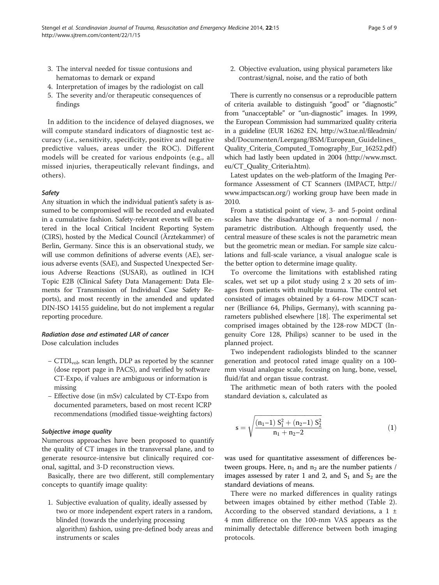- 3. The interval needed for tissue contusions and hematomas to demark or expand
- 4. Interpretation of images by the radiologist on call
- 5. The severity and/or therapeutic consequences of findings

In addition to the incidence of delayed diagnoses, we will compute standard indicators of diagnostic test accuracy (i.e., sensitivity, specificity, positive and negative predictive values, areas under the ROC). Different models will be created for various endpoints (e.g., all missed injuries, therapeutically relevant findings, and others).

#### Safety

Any situation in which the individual patient's safety is assumed to be compromised will be recorded and evaluated in a cumulative fashion. Safety-relevant events will be entered in the local Critical Incident Reporting System (CIRS), hosted by the Medical Council (Ärztekammer) of Berlin, Germany. Since this is an observational study, we will use common definitions of adverse events (AE), serious adverse events (SAE), and Suspected Unexpected Serious Adverse Reactions (SUSAR), as outlined in ICH Topic E2B (Clinical Safety Data Management: Data Elements for Transmission of Individual Case Safety Reports), and most recently in the amended and updated DIN-ISO 14155 guideline, but do not implement a regular reporting procedure.

# Radiation dose and estimated LAR of cancer

Dose calculation includes

- − CTDIvol, scan length, DLP as reported by the scanner (dose report page in PACS), and verified by software CT-Expo, if values are ambiguous or information is missing
- − Effective dose (in mSv) calculated by CT-Expo from documented parameters, based on most recent ICRP recommendations (modified tissue-weighting factors)

#### Subjective image quality

Numerous approaches have been proposed to quantify the quality of CT images in the transversal plane, and to generate resource-intensive but clinically required coronal, sagittal, and 3-D reconstruction views.

Basically, there are two different, still complementary concepts to quantify image quality:

1. Subjective evaluation of quality, ideally assessed by two or more independent expert raters in a random, blinded (towards the underlying processing algorithm) fashion, using pre-defined body areas and instruments or scales

2. Objective evaluation, using physical parameters like contrast/signal, noise, and the ratio of both

There is currently no consensus or a reproducible pattern of criteria available to distinguish "good" or "diagnostic" from "unacceptable" or "un-diagnostic" images. In 1999, the European Commission had summarized quality criteria in a guideline (EUR 16262 EN, [http://w3.tue.nl/fileadmin/](http://w3.tue.nl/fileadmin/sbd/Documenten/Leergang/BSM/European_Guidelines_Quality_Criteria_Computed_Tomography_Eur_16252.pdf) [sbd/Documenten/Leergang/BSM/European\\_Guidelines\\_](http://w3.tue.nl/fileadmin/sbd/Documenten/Leergang/BSM/European_Guidelines_Quality_Criteria_Computed_Tomography_Eur_16252.pdf) [Quality\\_Criteria\\_Computed\\_Tomography\\_Eur\\_16252.pdf](http://w3.tue.nl/fileadmin/sbd/Documenten/Leergang/BSM/European_Guidelines_Quality_Criteria_Computed_Tomography_Eur_16252.pdf) ) which had lastly been updated in 2004 [\(http://www.msct.](http://www.msct.eu/CT_Quality_Criteria.htm) [eu/CT\\_Quality\\_Criteria.htm\)](http://www.msct.eu/CT_Quality_Criteria.htm).

Latest updates on the web-platform of the Imaging Performance Assessment of CT Scanners (IMPACT, [http://](http://www.impactscan.org/) [www.impactscan.org/\)](http://www.impactscan.org/) working group have been made in 2010.

From a statistical point of view, 3- and 5-point ordinal scales have the disadvantage of a non-normal / nonparametric distribution. Although frequently used, the central measure of these scales is not the parametric mean but the geometric mean or median. For sample size calculations and full-scale variance, a visual analogue scale is the better option to determine image quality.

To overcome the limitations with established rating scales, wet set up a pilot study using 2 x 20 sets of images from patients with multiple trauma. The control set consisted of images obtained by a 64-row MDCT scanner (Brilliance 64, Philips, Germany), with scanning parameters published elsewhere [[18\]](#page-7-0). The experimental set comprised images obtained by the 128-row MDCT (Ingenuity Core 128, Philips) scanner to be used in the planned project.

Two independent radiologists blinded to the scanner generation and protocol rated image quality on a 100 mm visual analogue scale, focusing on lung, bone, vessel, fluid/fat and organ tissue contrast.

The arithmetic mean of both raters with the pooled standard deviation s, calculated as

$$
s = \sqrt{\frac{(n_1 - 1) S_1^2 + (n_2 - 1) S_2^2}{n_1 + n_2 - 2}}
$$
(1)

was used for quantitative assessment of differences between groups. Here,  $n_1$  and  $n_2$  are the number patients / images assessed by rater 1 and 2, and  $S_1$  and  $S_2$  are the standard deviations of means.

There were no marked differences in quality ratings between images obtained by either method (Table [2](#page-5-0)). According to the observed standard deviations, a  $1 \pm$ 4 mm difference on the 100-mm VAS appears as the minimally detectable difference between both imaging protocols.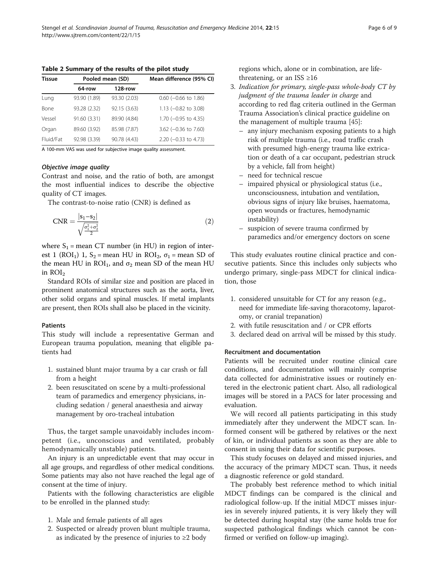| <b>Tissue</b> | Pooled mean (SD) |              | Mean difference (95% CI) |
|---------------|------------------|--------------|--------------------------|
|               | 64-row           | 128-row      |                          |
| Lung          | 93.90 (1.89)     | 93.30 (2.03) | $0.60$ (-0.66 to 1.86)   |
| Bone          | 93.28 (2.32)     | 92.15 (3.63) | 1.13 $(-0.82$ to 3.08)   |
| Vessel        | 91.60 (3.31)     | 89.90 (4.84) | 1.70 (-0.95 to 4.35)     |
| Organ         | 89.60 (3.92)     | 85.98 (7.87) | 3.62 $(-0.36$ to 7.60)   |
| Fluid/Fat     | 92.98 (3.39)     | 90.78 (4.43) | 2.20 $(-0.33$ to 4.73)   |

<span id="page-5-0"></span>Table 2 Summary of the results of the pilot study

A 100-mm VAS was used for subjective image quality assessment.

#### Objective image quality

Contrast and noise, and the ratio of both, are amongst the most influential indices to describe the objective quality of CT images.

The contrast-to-noise ratio (CNR) is defined as

$$
CNR = \frac{|s_1 - s_2|}{\sqrt{\frac{\sigma_1^2 + \sigma_2^2}{2}}}
$$
 (2)

where  $S_1$  = mean CT number (in HU) in region of interest 1 (ROI<sub>1</sub>) 1, S<sub>2</sub> = mean HU in ROI<sub>2</sub>,  $\sigma_1$  = mean SD of the mean HU in  $ROI<sub>1</sub>$ , and  $\sigma<sub>2</sub>$  mean SD of the mean HU in ROI<sub>2</sub>

Standard ROIs of similar size and position are placed in prominent anatomical structures such as the aorta, liver, other solid organs and spinal muscles. If metal implants are present, then ROIs shall also be placed in the vicinity.

#### Patients

This study will include a representative German and European trauma population, meaning that eligible patients had

- 1. sustained blunt major trauma by a car crash or fall from a height
- 2. been resuscitated on scene by a multi-professional team of paramedics and emergency physicians, including sedation / general anaesthesia and airway management by oro-tracheal intubation

Thus, the target sample unavoidably includes incompetent (i.e., unconscious and ventilated, probably hemodynamically unstable) patients.

An injury is an unpredictable event that may occur in all age groups, and regardless of other medical conditions. Some patients may also not have reached the legal age of consent at the time of injury.

Patients with the following characteristics are eligible to be enrolled in the planned study:

- 1. Male and female patients of all ages
- 2. Suspected or already proven blunt multiple trauma, as indicated by the presence of injuries to  $\geq 2$  body

regions which, alone or in combination, are lifethreatening, or an ISS  $\geq$ 16

- 3. Indication for primary, single-pass whole-body CT by judgment of the trauma leader in charge and according to red flag criteria outlined in the German Trauma Association's clinical practice guideline on the management of multiple trauma [[45](#page-8-0)]:
	- any injury mechanism exposing patients to a high risk of multiple trauma (i.e., road traffic crash with presumed high-energy trauma like extrication or death of a car occupant, pedestrian struck by a vehicle, fall from height)
	- need for technical rescue
	- impaired physical or physiological status (i.e., unconsciousness, intubation and ventilation, obvious signs of injury like bruises, haematoma, open wounds or fractures, hemodynamic instability)
	- suspicion of severe trauma confirmed by paramedics and/or emergency doctors on scene

This study evaluates routine clinical practice and consecutive patients. Since this includes only subjects who undergo primary, single-pass MDCT for clinical indication, those

- 1. considered unsuitable for CT for any reason (e.g., need for immediate life-saving thoracotomy, laparotomy, or cranial trepanation)
- 2. with futile resuscitation and / or CPR efforts
- 3. declared dead on arrival will be missed by this study.

#### Recruitment and documentation

Patients will be recruited under routine clinical care conditions, and documentation will mainly comprise data collected for administrative issues or routinely entered in the electronic patient chart. Also, all radiological images will be stored in a PACS for later processing and evaluation.

We will record all patients participating in this study immediately after they underwent the MDCT scan. Informed consent will be gathered by relatives or the next of kin, or individual patients as soon as they are able to consent in using their data for scientific purposes.

This study focuses on delayed and missed injuries, and the accuracy of the primary MDCT scan. Thus, it needs a diagnostic reference or gold standard.

The probably best reference method to which initial MDCT findings can be compared is the clinical and radiological follow-up. If the initial MDCT misses injuries in severely injured patients, it is very likely they will be detected during hospital stay (the same holds true for suspected pathological findings which cannot be confirmed or verified on follow-up imaging).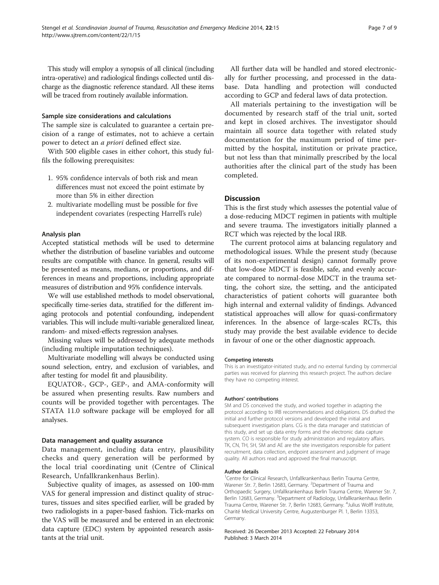This study will employ a synopsis of all clinical (including intra-operative) and radiological findings collected until discharge as the diagnostic reference standard. All these items will be traced from routinely available information.

#### Sample size considerations and calculations

The sample size is calculated to guarantee a certain precision of a range of estimates, not to achieve a certain power to detect an a priori defined effect size.

With 500 eligible cases in either cohort, this study fulfils the following prerequisites:

- 1. 95% confidence intervals of both risk and mean differences must not exceed the point estimate by more than 5% in either direction
- 2. multivariate modelling must be possible for five independent covariates (respecting Harrell's rule)

#### Analysis plan

Accepted statistical methods will be used to determine whether the distribution of baseline variables and outcome results are compatible with chance. In general, results will be presented as means, medians, or proportions, and differences in means and proportions, including appropriate measures of distribution and 95% confidence intervals.

We will use established methods to model observational, specifically time-series data, stratified for the different imaging protocols and potential confounding, independent variables. This will include multi-variable generalized linear, random- and mixed-effects regression analyses.

Missing values will be addressed by adequate methods (including multiple imputation techniques).

Multivariate modelling will always be conducted using sound selection, entry, and exclusion of variables, and after testing for model fit and plausibility.

EQUATOR-, GCP-, GEP-, and AMA-conformity will be assured when presenting results. Raw numbers and counts will be provided together with percentages. The STATA 11.0 software package will be employed for all analyses.

#### Data management and quality assurance

Data management, including data entry, plausibility checks and query generation will be performed by the local trial coordinating unit (Centre of Clinical Research, Unfallkrankenhaus Berlin).

Subjective quality of images, as assessed on 100-mm VAS for general impression and distinct quality of structures, tissues and sites specified earlier, will be graded by two radiologists in a paper-based fashion. Tick-marks on the VAS will be measured and be entered in an electronic data capture (EDC) system by appointed research assistants at the trial unit.

All further data will be handled and stored electronically for further processing, and processed in the database. Data handling and protection will conducted according to GCP and federal laws of data protection.

All materials pertaining to the investigation will be documented by research staff of the trial unit, sorted and kept in closed archives. The investigator should maintain all source data together with related study documentation for the maximum period of time permitted by the hospital, institution or private practice, but not less than that minimally prescribed by the local authorities after the clinical part of the study has been completed.

#### **Discussion**

This is the first study which assesses the potential value of a dose-reducing MDCT regimen in patients with multiple and severe trauma. The investigators initially planned a RCT which was rejected by the local IRB.

The current protocol aims at balancing regulatory and methodological issues. While the present study (because of its non-experimental design) cannot formally prove that low-dose MDCT is feasible, safe, and evenly accurate compared to normal-dose MDCT in the trauma setting, the cohort size, the setting, and the anticipated characteristics of patient cohorts will guarantee both high internal and external validity of findings. Advanced statistical approaches will allow for quasi-confirmatory inferences. In the absence of large-scales RCTs, this study may provide the best available evidence to decide in favour of one or the other diagnostic approach.

#### Competing interests

This is an investigator-initiated study, and no external funding by commercial parties was received for planning this research project. The authors declare they have no competing interest.

#### Authors' contributions

SM and DS conceived the study, and worked together in adapting the protocol according to IRB recommendations and obligations. DS drafted the initial and further protocol versions and developed the initial and subsequent investigation plans. CG is the data manager and statistician of this study, and set up data entry forms and the electronic data capture system. CO is responsible for study administration and regulatory affairs. TK, CN, TH, SH, SM and AE are the site investigators responsible for patient recruitment, data collection, endpoint assessment and judgment of image quality. All authors read and approved the final manuscript.

#### Author details

<sup>1</sup> Centre for Clinical Research, Unfallkrankenhaus Berlin Trauma Centre, Warener Str. 7, Berlin 12683, Germany. <sup>2</sup>Department of Trauma and Orthopaedic Surgery, Unfallkrankenhaus Berlin Trauma Centre, Warener Str. 7, Berlin 12683, Germany. <sup>3</sup>Department of Radiology, Unfallkrankenhaus Berlin Trauma Centre, Warener Str. 7, Berlin 12683, Germany. <sup>4</sup> Julius Wolff Institute, Charité Medical University Centre, Augustenburger Pl. 1, Berlin 13353, Germany.

Received: 26 December 2013 Accepted: 22 February 2014 Published: 3 March 2014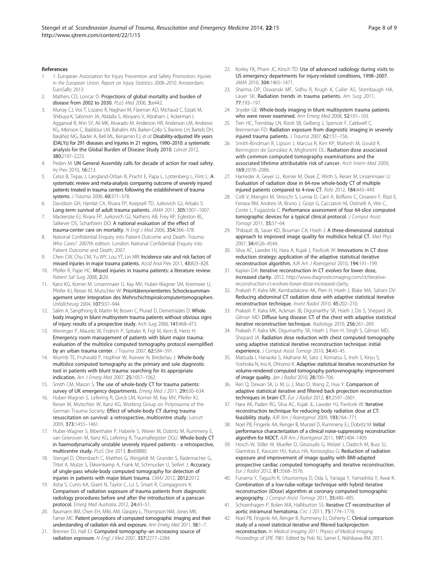#### <span id="page-7-0"></span>References

- 1. European Association for Injury Prevention and Safety Promotion: *Injuries* in the European Union. Report on Injury Statistics 2008–2010. Amsterdam: EuroSafe; 2013.
- Mathers CD, Loncar D: Projections of global mortality and burden of disease from 2002 to 2030. PLoS Med 2006, 3:e442.
- 3. Murray CJ, Vos T, Lozano R, Naghavi M, Flaxman AD, Michaud C, Ezzati M, Shibuya K, Salomon JA, Abdalla S, Aboyans V, Abraham J, Ackerman I, Aggarwal R, Ahn SY, Ali MK, Alvarado M, Anderson HR, Anderson LM, Andrews KG, Atkinson C, Baddour LM, Bahalim AN, Barker-Collo S, Barrero LH, Bartels DH, Basáñez MG, Baxter A, Bell ML, Benjamin EJ, et al: Disability-adjusted life years (DALYs) for 291 diseases and injuries in 21 regions, 1990–2010: a systematic analysis for the Global Burden of Disease Study 2010. Lancet 2012, 380:2197–2223.
- 4. Peden M: UN General Assembly calls for decade of action for road safety. Inj Prev 2010, 16:213.
- 5. Celso B, Tepas J, Langland-Orban B, Pracht E, Papa L, Lottenberg L, Flint L: A systematic review and meta-analysis comparing outcome of severely injured patients treated in trauma centers following the establishment of trauma systems. J Trauma 2006, 60:371-378.
- 6. Davidson GH, Hamlat CA, Rivara FP, Koepsell TD, Jurkovich GJ, Arbabi S: Long-term survival of adult trauma patients. JAMA 2011, 305:1001–1007.
- 7. Mackenzie EJ, Rivara FP, Jurkovich GJ, Nathens AB, Frey KP, Egleston BL, Salkever DS, Scharfstein DO: A national evaluation of the effect of trauma-center care on mortality. N Engl J Med 2006, 354:366–378.
- 8. National Confidential Enquiry into Patient Outcome and Death: Trauma: Who Cares?. 2007th edition. London: National Confidential Enquiry into Patient Outcome and Death; 2007.
- 9. Chen CW, Chu CM, Yu WY, Lou YT, Lin MR: Incidence rate and risk factors of missed injuries in major trauma patients. Accid Anal Prev 2011, 43:823–828.
- 10. Pfeifer R, Pape HC: Missed injuries in trauma patients: a literature review. Patient Saf Sura 2008, 2:20.
- 11. Kanz KG, Korner M, Linsenmaier U, Kay MV, Huber-Wagner SM, Kreimeier U, Pfeifer KJ, Reiser M, Mutschler W: Prioritätenorientiertes Schockraummanagement unter Integration des Mehrschichtspiralcomputertomographen. Unfallchirurg 2004, 107:937–944.
- 12. Salim A, Sangthong B, Martin M, Brown C, Plurad D, Demetriades D: Whole body imaging in blunt multisystem trauma patients without obvious signs of injury: results of a prospective study. Arch Surg 2006, 141:468–473.
- 13. Weninger P, Mauritz W, Fridrich P, Spitaler R, Figl M, Kern B, Hertz H: Emergency room management of patients with blunt major trauma: evaluation of the multislice computed tomography protocol exemplified by an urban trauma center. J Trauma 2007, 62:584-591.
- 14. Wurmb TE, Fruhwald P, Hopfner W, Roewer N, Brederlau J: Whole-body multislice computed tomography as the primary and sole diagnostic tool in patients with blunt trauma: searching for its appropriate indication. Am J Emerg Med 2007, 25:1057–1062.
- 15. Smith CM, Mason S: The use of whole-body CT for trauma patients: survey of UK emergency departments. Emerg Med J 2011, 29:630–634.
- 16. Huber-Wagner S, Lefering R, Qvick LM, Korner M, Kay MV, Pfeifer KJ, Reiser M, Mutschler W, Kanz KG, Working Group on Polytrauma of the German Trauma Society: Effect of whole-body CT during trauma resuscitation on survival: a retrospective, multicentre study. Lancet 2009, 373:1455–1461.
- 17. Huber-Wagner S, Biberthaler P, Haberle S, Wierer M, Dobritz M, Rummeny E, van Griensven M, Kanz KG, Lefering R, TraumaRegister DGU: Whole-body CT in haemodynamically unstable severely injured patients - a retrospective, multicentre study. PLoS One 2013, 8:e68880.
- 18. Stengel D, Ottersbach C, Matthes G, Weigeldt M, Grundei S, Rademacher G, Tittel A, Mutze S, Ekkernkamp A, Frank M, Schmucker U, Seifert J: Accuracy of single-pass whole-body computed tomography for detection of injuries in patients with major blunt trauma. CMAJ 2012, 2012:2012.
- 19. Asha S, Curtis KA, Grant N, Taylor C, Lo S, Smart R, Compagnoni K: Comparison of radiation exposure of trauma patients from diagnostic radiology procedures before and after the introduction of a panscan protocol. Emerg Med Australas 2012, 24:43–51.
- 20. Baumann BM, Chen EH, Mills AM, Glaspey L, Thompson NM, Jones MK, Farner MC: Patient perceptions of computed tomographic imaging and their understanding of radiation risk and exposure. Ann Emerg Med 2011, 58:1–7.
- 21. Brenner DJ, Hall EJ: Computed tomography-an increasing source of radiation exposure. N Engl J Med 2007, 357:2277–2284.
- 22. Korley FK, Pham JC, Kirsch TD: Use of advanced radiology during visits to US emergency departments for injury-related conditions, 1998–2007. JAMA 2010, 304:1465–1471.
- 23. Sharma OP, Oswanski MF, Sidhu R, Krugh K, Culler AS, Stombaugh HA, Lauer SK: Radiation trends in trauma patients. Am Surg 2011, 77:193–197.
- 24. Snyder GE: Whole-body imaging in blunt multisystem trauma patients who were never examined. Ann Emerg Med 2008, 52:101-103.
- 25. Tien HC, Tremblay LN, Rizoli SB, Gelberg J, Spencer F, Caldwell C, Brenneman FD: Radiation exposure from diagnostic imaging in severely injured trauma patients. J Trauma 2007, 62:151–156.
- 26. Smith-Bindman R, Lipson J, Marcus R, Kim KP, Mahesh M, Gould R, Berrington de González A, Miglioretti DL: Radiation dose associated with common computed tomography examinations and the associated lifetime attributable risk of cancer. Arch Intern Med 2009, 169:2078–2086.
- 27. Harrieder A, Geyer LL, Korner M, Deak Z, Wirth S, Reiser M, Linsenmaier U: Evaluation of radiation dose in 64-row whole-body CT of multiple injured patients compared to 4-row CT. Rofo 2012, 184:443–449.
- 28. Colli V, Mangini M, Strocchi S, Lumia D, Canì A, Boffano C, Cesarani F, Rizzi E, Ferrara RM, Andreis IA, Bruno J, Gozzi G, Cacciatori M, Ostinelli A, Vite C, Conte L, Fugazzola C: Performance assessment of four 64-slice computed tomographic devices for a typical clinical protocol. J Comput Assist Tomogr 2011, 35:57–64.
- 29. Thibault JB, Sauer KD, Bouman CA, Hsieh J: A three-dimensional statistical approach to improved image quality for multislice helical CT. Med Phys 2007, 34:4526–4544.
- 30. Silva AC, Lawder HJ, Hara A, Kujak J, Pavlicek W: Innovations in CT dose reduction strategy: application of the adaptive statistical iterative reconstruction algorithm. AJR Am J Roentgenol 2010, 194:191–199.
- 31. Kaplan DA: Iterative reconstruction in CT evolves for lower dose, increased clarity. 2012. [http://www.diagnosticimaging.com/ct/iterative](http://www.diagnosticimaging.com/ct/iterative-reconstruction-ct-evolves-lower-dose-increased-clarity)[reconstruction-ct-evolves-lower-dose-increased-clarity.](http://www.diagnosticimaging.com/ct/iterative-reconstruction-ct-evolves-lower-dose-increased-clarity)
- 32. Prakash P, Kalra MK, Kambadakone AK, Pien H, Hsieh J, Blake MA, Sahani DV: Reducing abdominal CT radiation dose with adaptive statistical iterative reconstruction technique. Invest Radiol 2010, 45:202–210.
- 33. Prakash P, Kalra MK, Ackman JB, Digumarthy SR, Hsieh J, Do S, Shepard JA, Gilman MD: Diffuse lung disease: CT of the chest with adaptive statistical iterative reconstruction technique. Radiology 2010, 256:261–269.
- 34. Prakash P, Kalra MK, Digumarthy SR, Hsieh J, Pien H, Singh S, Gilman MD, Shepard JA: Radiation dose reduction with chest computed tomography using adaptive statistical iterative reconstruction technique: initial experience. J Comput Assist Tomogr 2010, 34:40–45.
- 35. Matsuda I, Hanaoka S, Akahane M, Sato J, Komatsu S, Inoh S, Kiryu S, Yoshioka N, Ino K, Ohtomo K: Adaptive statistical iterative reconstruction for volume-rendered computed tomography portovenography: improvement of image quality. Jpn J Radiol 2010, 28:700-706.
- 36. Ren Q, Dewan SK, Li M, Li J, Mao D, Wang Z, Hua Y: Comparison of adaptive statistical iterative and filtered back projection reconstruction techniques in brain CT. Eur J Radiol 2012, 81:2597-2601
- 37. Hara AK, Paden RG, Silva AC, Kujak JL, Lawder HJ, Pavlicek W: Iterative reconstruction technique for reducing body radiation dose at CT: feasibility study. AJR Am J Roentgenol 2009, 193:764–771.
- 38. Noel PB, Fingerle AA, Renger B, Munzel D, Rummeny EJ, Dobritz M: Initial performance characterization of a clinical noise-suppressing reconstruction algorithm for MDCT. AJR Am J Roentgenol 2011, 197:1404–1409.
- 39. Hosch W, Stiller W, Mueller D, Gitsioudis G, Welzel J, Dadrich M, Buss SJ, Giannitsis E, Kauczor HU, Katus HA, Korosoglou G: Reduction of radiation exposure and improvement of image quality with BMI-adapted prospective cardiac computed tomography and iterative reconstruction. Eur J Radiol 2012, 81:3568–3576.
- 40. Funama Y, Taguchi K, Utsunomiya D, Oda S, Yanaga Y, Yamashita Y, Awai K: Combination of a low-tube-voltage technique with hybrid iterative reconstruction (iDose) algorithm at coronary computed tomographic angiography. J Comput Assist Tomogr 2011, 35:480-485.
- 41. Schoenhagen P, Bolen MA, Halliburton SS: Iterative CT reconstruction of aortic intramural hematoma. Circ J 2011, 75:1774–1776.
- 42. Noel PB, Fingerle AA, Renger B, Rummeny EJ, Doherty C: Clinical comparison study of a novel statistical iterative and filtered backprojection reconstruction. In Medical Imaging 2011: Physics of Medical Imaging. Proceedings of SPIE 7961. Edited by Pelc NJ, Samei E, Nishikawa RM. 2011.